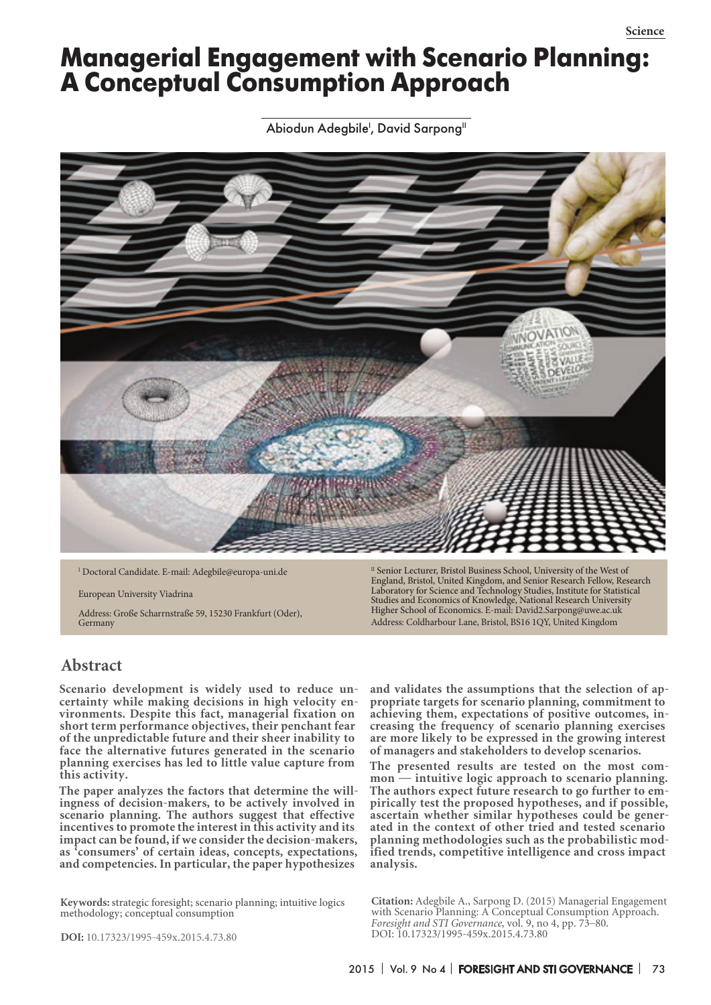# **Managerial Engagement with Scenario Planning: A Conceptual Consumption Approach**

Abiodun Adegbile', David Sarpong''



I Doctoral Candidate. E-mail: Adegbile@europa-uni.de

European University Viadrina

Address: Große Scharrnstraße 59, 15230 Frankfurt (Oder), Germany

II Senior Lecturer, Bristol Business School, University of the West of England, Bristol, United Kingdom, and Senior Research Fellow, Research Laboratory for Science and Technology Studies, Institute for Statistical Studies and Economics of Knowledge, National Research University Higher School of Economics. E-mail: David2.Sarpong@uwe.ac.uk Address: Coldharbour Lane, Bristol, BS16 1QY, United Kingdom

**Science**

## **Abstract**

**Scenario development is widely used to reduce un- certainty while making decisions in high velocity en- vironments. Despite this fact, managerial fixation on short term performance objectives, their penchant fear of the unpredictable future and their sheer inability to face the alternative futures generated in the scenario planning exercises has led to little value capture from this activity.**

**The paper analyzes the factors that determine the willingness of decision-makers, to be actively involved in**  scenario planning. The authors suggest that effective **incentives to promote the interest in this activity and its impact can be found, if we consider the decision-makers, as 'consumers' of certain ideas, concepts, expectations, and competencies. In particular, the paper hypothesizes** 

**Keywords:** strategic foresight; scenario planning; intuitive logics methodology; conceptual consumption

**and validates the assumptions that the selection of ap- propriate targets for scenario planning, commitment to achieving them, expectations of positive outcomes, in- creasing the frequency of scenario planning exercises are more likely to be expressed in the growing interest of managers and stakeholders to develop scenarios.**

**The presented results are tested on the most common — intuitive logic approach to scenario planning. The authors expect future research to go further to empirically test the proposed hypotheses, and if possible, ascertain whether similar hypotheses could be generated in the context of other tried and tested scenario planning methodologies such as the probabilistic mod- ified trends, competitive intelligence and cross impact analysis.** 

**Citation:** Adegbile A., Sarpong D. (2015) Managerial Engagement with Scenario Planning: A Conceptual Consumption Approach. *Foresight and STI Governance*, vol. 9, no 4, pp. 73–80.

**DOI:** DOI: 10.17323/1995-459x.2015.4.73.80 10.17323/1995-459x.2015.4.73.80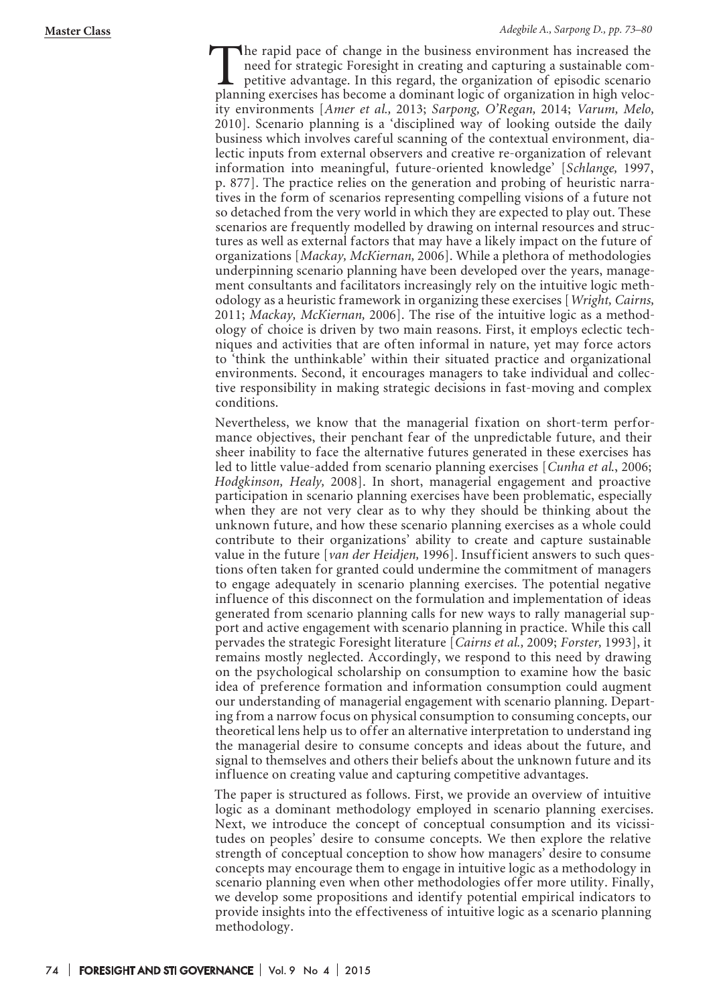The rapid pace of change in the business environment has increased the need for strategic Foresight in creating and capturing a sustainable competitive advantage. In this regard, the organization of episodic scenario planning exercises has become a dominant logic of organization in high velocity environments [*Amer et al.,* 2013; *Sarpong, O'Regan,* 2014; *Varum, Melo,*  2010]. Scenario planning is a 'disciplined way of looking outside the daily business which involves careful scanning of the contextual environment, dialectic inputs from external observers and creative re-organization of relevant information into meaningful, future-oriented knowledge' [*Schlange,* 1997, p. 877]. The practice relies on the generation and probing of heuristic narratives in the form of scenarios representing compelling visions of a future not so detached from the very world in which they are expected to play out. These scenarios are frequently modelled by drawing on internal resources and structures as well as external factors that may have a likely impact on the future of organizations [*Mackay, McKiernan,* 2006]. While a plethora of methodologies underpinning scenario planning have been developed over the years, management consultants and facilitators increasingly rely on the intuitive logic methodology as a heuristic framework in organizing these exercises [*Wright, Cairns,*  2011; *Mackay, McKiernan,* 2006]. The rise of the intuitive logic as a methodology of choice is driven by two main reasons. First, it employs eclectic techniques and activities that are often informal in nature, yet may force actors to 'think the unthinkable' within their situated practice and organizational environments. Second, it encourages managers to take individual and collective responsibility in making strategic decisions in fast-moving and complex conditions.

Nevertheless, we know that the managerial fixation on short-term performance objectives, their penchant fear of the unpredictable future, and their sheer inability to face the alternative futures generated in these exercises has led to little value-added from scenario planning exercises [*Cunha et al*., 2006; *Hodgkinson, Healy,* 2008]. In short, managerial engagement and proactive participation in scenario planning exercises have been problematic, especially when they are not very clear as to why they should be thinking about the unknown future, and how these scenario planning exercises as a whole could contribute to their organizations' ability to create and capture sustainable value in the future [*van der Heidjen,* 1996]. Insufficient answers to such questions often taken for granted could undermine the commitment of managers to engage adequately in scenario planning exercises. The potential negative influence of this disconnect on the formulation and implementation of ideas generated from scenario planning calls for new ways to rally managerial support and active engagement with scenario planning in practice. While this call pervades the strategic Foresight literature [*Cairns et al.,* 2009; *Forster,* 1993], it remains mostly neglected. Accordingly, we respond to this need by drawing on the psychological scholarship on consumption to examine how the basic idea of preference formation and information consumption could augment our understanding of managerial engagement with scenario planning. Departing from a narrow focus on physical consumption to consuming concepts, our theoretical lens help us to offer an alternative interpretation to understand ing the managerial desire to consume concepts and ideas about the future, and signal to themselves and others their beliefs about the unknown future and its influence on creating value and capturing competitive advantages.

The paper is structured as follows. First, we provide an overview of intuitive logic as a dominant methodology employed in scenario planning exercises. Next, we introduce the concept of conceptual consumption and its vicissitudes on peoples' desire to consume concepts. We then explore the relative strength of conceptual conception to show how managers' desire to consume concepts may encourage them to engage in intuitive logic as a methodology in scenario planning even when other methodologies offer more utility. Finally, we develop some propositions and identify potential empirical indicators to provide insights into the effectiveness of intuitive logic as a scenario planning methodology.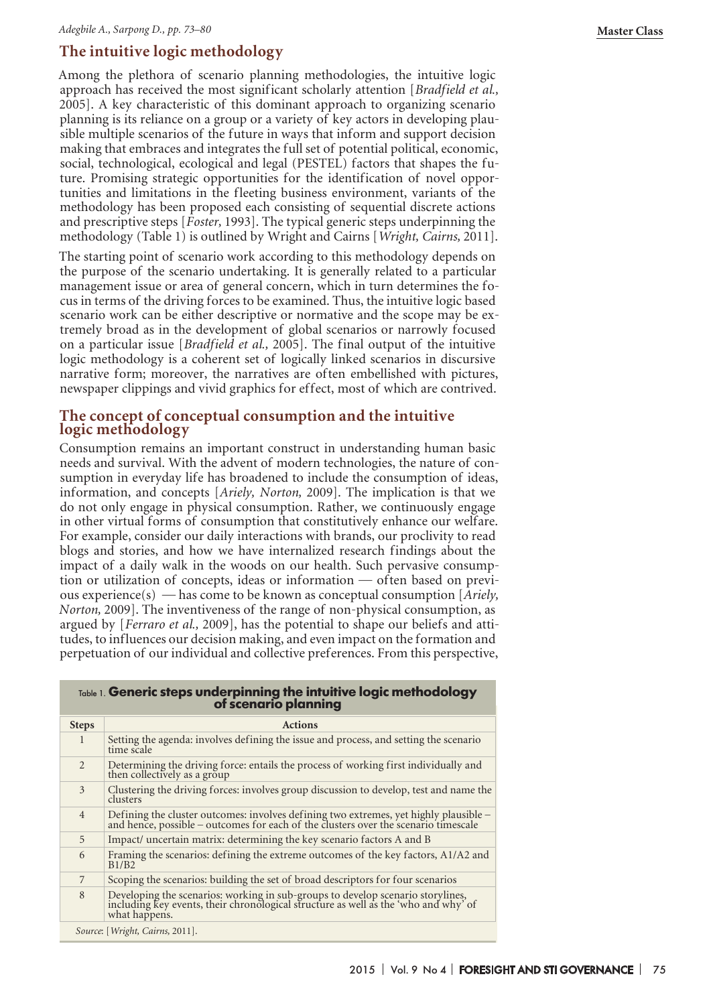## **The intuitive logic methodology**

Among the plethora of scenario planning methodologies, the intuitive logic approach has received the most significant scholarly attention [*Bradfield et al.,*  2005]. A key characteristic of this dominant approach to organizing scenario planning is its reliance on a group or a variety of key actors in developing plausible multiple scenarios of the future in ways that inform and support decision making that embraces and integrates the full set of potential political, economic, social, technological, ecological and legal (PESTEL) factors that shapes the future. Promising strategic opportunities for the identification of novel opportunities and limitations in the fleeting business environment, variants of the methodology has been proposed each consisting of sequential discrete actions and prescriptive steps [*Foster,* 1993]. The typical generic steps underpinning the methodology (Table 1) is outlined by Wright and Cairns [*Wright, Cairns,* 2011].

The starting point of scenario work according to this methodology depends on the purpose of the scenario undertaking. It is generally related to a particular management issue or area of general concern, which in turn determines the focus in terms of the driving forces to be examined. Thus, the intuitive logic based scenario work can be either descriptive or normative and the scope may be extremely broad as in the development of global scenarios or narrowly focused on a particular issue [*Bradfield et al.,* 2005]. The final output of the intuitive logic methodology is a coherent set of logically linked scenarios in discursive narrative form; moreover, the narratives are often embellished with pictures, newspaper clippings and vivid graphics for effect, most of which are contrived.

## **The concept of conceptual consumption and the intuitive logic methodology**

Consumption remains an important construct in understanding human basic needs and survival. With the advent of modern technologies, the nature of consumption in everyday life has broadened to include the consumption of ideas, information, and concepts [*Ariely, Norton,* 2009]. The implication is that we do not only engage in physical consumption. Rather, we continuously engage in other virtual forms of consumption that constitutively enhance our welfare. For example, consider our daily interactions with brands, our proclivity to read blogs and stories, and how we have internalized research findings about the impact of a daily walk in the woods on our health. Such pervasive consumption or utilization of concepts, ideas or information — often based on previous experience(s) — has come to be known as conceptual consumption [*Ariely, Norton,* 2009]. The inventiveness of the range of non-physical consumption, as argued by [*Ferraro et al.,* 2009], has the potential to shape our beliefs and attitudes, to influences our decision making, and even impact on the formation and perpetuation of our individual and collective preferences. From this perspective,

# Table 1. **Generic steps underpinning the intuitive logic methodology of scenario planning**

| <b>Steps</b>                    | <b>Actions</b>                                                                                                                                                                       |
|---------------------------------|--------------------------------------------------------------------------------------------------------------------------------------------------------------------------------------|
| 1                               | Setting the agenda: involves defining the issue and process, and setting the scenario<br>time scale                                                                                  |
| $\overline{2}$                  | Determining the driving force: entails the process of working first individually and then collectively as a group                                                                    |
| 3                               | Clustering the driving forces: involves group discussion to develop, test and name the<br>clusters                                                                                   |
| $\overline{4}$                  | Defining the cluster outcomes: involves defining two extremes, yet highly plausible – and hence, possible – outcomes for each of the clusters over the scenario timescale            |
| 5                               | Impact/ uncertain matrix: determining the key scenario factors A and B                                                                                                               |
| 6                               | Framing the scenarios: defining the extreme outcomes of the key factors, A1/A2 and<br>B1/B2                                                                                          |
| 7                               | Scoping the scenarios: building the set of broad descriptors for four scenarios                                                                                                      |
| 8                               | Developing the scenarios: working in sub-groups to develop scenario storylines, including key events, their chronological structure as well as the 'who and why' of<br>what happens. |
| Source: [Wright, Cairns, 2011]. |                                                                                                                                                                                      |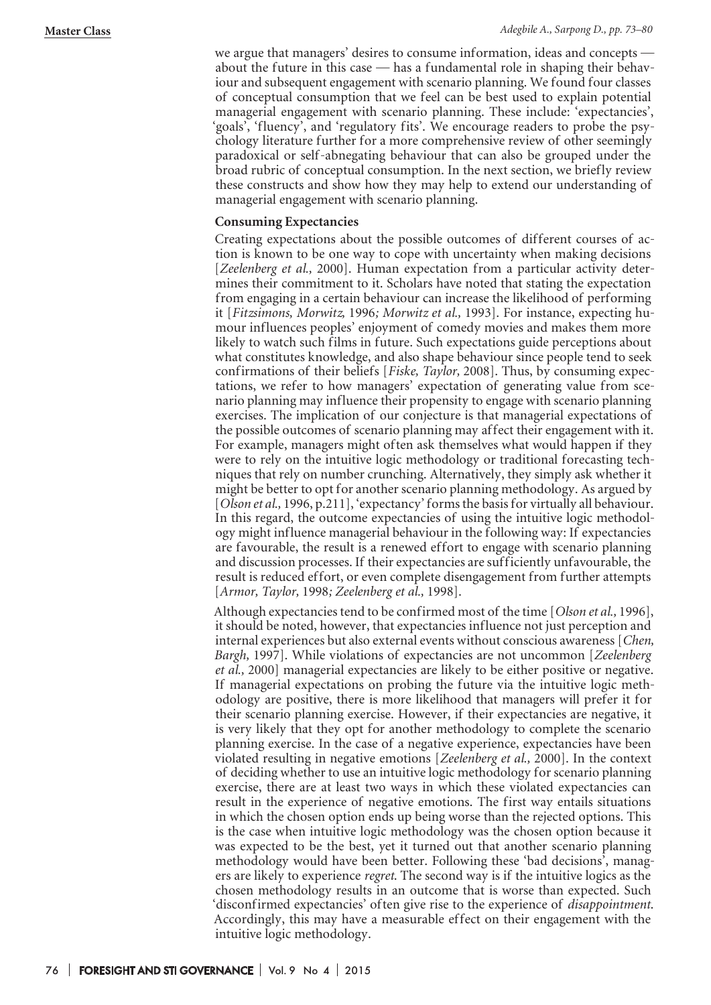we argue that managers' desires to consume information, ideas and concepts about the future in this case — has a fundamental role in shaping their behaviour and subsequent engagement with scenario planning. We found four classes of conceptual consumption that we feel can be best used to explain potential managerial engagement with scenario planning. These include: 'expectancies', 'goals', 'fluency', and 'regulatory fits'. We encourage readers to probe the psychology literature further for a more comprehensive review of other seemingly paradoxical or self-abnegating behaviour that can also be grouped under the broad rubric of conceptual consumption. In the next section, we briefly review these constructs and show how they may help to extend our understanding of managerial engagement with scenario planning.

## **Consuming Expectancies**

Creating expectations about the possible outcomes of different courses of action is known to be one way to cope with uncertainty when making decisions [*Zeelenberg et al.,* 2000]. Human expectation from a particular activity determines their commitment to it. Scholars have noted that stating the expectation from engaging in a certain behaviour can increase the likelihood of performing it [*Fitzsimons, Morwitz,* 1996*; Morwitz et al.,* 1993]. For instance, expecting humour influences peoples' enjoyment of comedy movies and makes them more likely to watch such films in future. Such expectations guide perceptions about what constitutes knowledge, and also shape behaviour since people tend to seek confirmations of their beliefs [*Fiske, Taylor,* 2008]. Thus, by consuming expectations, we refer to how managers' expectation of generating value from scenario planning may influence their propensity to engage with scenario planning exercises. The implication of our conjecture is that managerial expectations of the possible outcomes of scenario planning may affect their engagement with it. For example, managers might often ask themselves what would happen if they were to rely on the intuitive logic methodology or traditional forecasting techniques that rely on number crunching. Alternatively, they simply ask whether it might be better to opt for another scenario planning methodology. As argued by [Olson et al., 1996, p.211], 'expectancy' forms the basis for virtually all behaviour. In this regard, the outcome expectancies of using the intuitive logic methodology might influence managerial behaviour in the following way: If expectancies are favourable, the result is a renewed effort to engage with scenario planning and discussion processes. If their expectancies are sufficiently unfavourable, the result is reduced effort, or even complete disengagement from further attempts [*Armor, Taylor,* 1998*; Zeelenberg et al.,* 1998].

Although expectancies tend to be confirmed most of the time [*Olson et al.,* 1996], it should be noted, however, that expectancies influence not just perception and internal experiences but also external events without conscious awareness [*Chen, Bargh,* 1997]. While violations of expectancies are not uncommon [*Zeelenberg et al.,* 2000] managerial expectancies are likely to be either positive or negative. If managerial expectations on probing the future via the intuitive logic methodology are positive, there is more likelihood that managers will prefer it for their scenario planning exercise. However, if their expectancies are negative, it is very likely that they opt for another methodology to complete the scenario planning exercise. In the case of a negative experience, expectancies have been violated resulting in negative emotions [*Zeelenberg et al.,* 2000]. In the context of deciding whether to use an intuitive logic methodology for scenario planning exercise, there are at least two ways in which these violated expectancies can result in the experience of negative emotions. The first way entails situations in which the chosen option ends up being worse than the rejected options. This is the case when intuitive logic methodology was the chosen option because it was expected to be the best, yet it turned out that another scenario planning methodology would have been better. Following these 'bad decisions', managers are likely to experience *regret*. The second way is if the intuitive logics as the chosen methodology results in an outcome that is worse than expected. Such 'disconfirmed expectancies' often give rise to the experience of *disappointment*. Accordingly, this may have a measurable effect on their engagement with the intuitive logic methodology.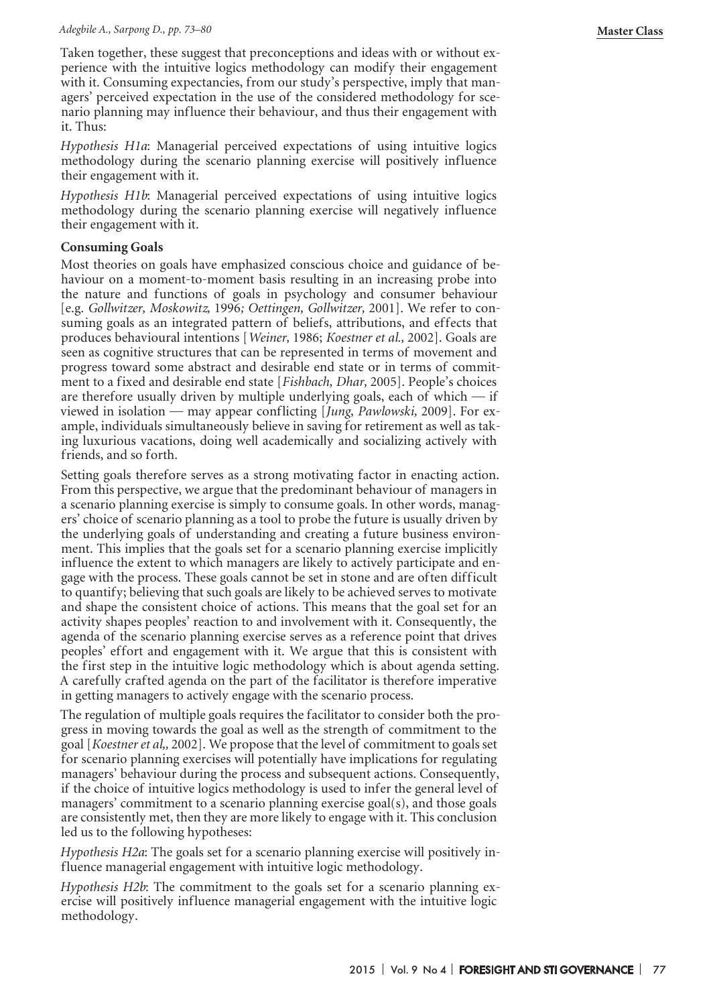#### *Adegbile А., Sarpong D., pp. 73–80*

Taken together, these suggest that preconceptions and ideas with or without experience with the intuitive logics methodology can modify their engagement with it. Consuming expectancies, from our study's perspective, imply that managers' perceived expectation in the use of the considered methodology for scenario planning may influence their behaviour, and thus their engagement with it. Thus:

*Hypothesis H1a*: Managerial perceived expectations of using intuitive logics methodology during the scenario planning exercise will positively influence their engagement with it.

*Hypothesis H1b*: Managerial perceived expectations of using intuitive logics methodology during the scenario planning exercise will negatively influence their engagement with it.

#### **Consuming Goals**

Most theories on goals have emphasized conscious choice and guidance of behaviour on a moment-to-moment basis resulting in an increasing probe into the nature and functions of goals in psychology and consumer behaviour [e.g. *Gollwitzer, Moskowitz,* 1996*; Oettingen, Gollwitzer,* 2001]. We refer to consuming goals as an integrated pattern of beliefs, attributions, and effects that produces behavioural intentions [*Weiner,* 1986; *Koestner et al.,* 2002]. Goals are seen as cognitive structures that can be represented in terms of movement and progress toward some abstract and desirable end state or in terms of commitment to a fixed and desirable end state [*Fishbach, Dhar,* 2005]. People's choices are therefore usually driven by multiple underlying goals, each of which — if viewed in isolation — may appear conflicting [*Jung, Pawlowski,* 2009]. For example, individuals simultaneously believe in saving for retirement as well as taking luxurious vacations, doing well academically and socializing actively with friends, and so forth.

Setting goals therefore serves as a strong motivating factor in enacting action. From this perspective, we argue that the predominant behaviour of managers in a scenario planning exercise is simply to consume goals. In other words, managers' choice of scenario planning as a tool to probe the future is usually driven by the underlying goals of understanding and creating a future business environment. This implies that the goals set for a scenario planning exercise implicitly influence the extent to which managers are likely to actively participate and engage with the process. These goals cannot be set in stone and are often difficult to quantify; believing that such goals are likely to be achieved serves to motivate and shape the consistent choice of actions. This means that the goal set for an activity shapes peoples' reaction to and involvement with it. Consequently, the agenda of the scenario planning exercise serves as a reference point that drives peoples' effort and engagement with it. We argue that this is consistent with the first step in the intuitive logic methodology which is about agenda setting. A carefully crafted agenda on the part of the facilitator is therefore imperative in getting managers to actively engage with the scenario process.

The regulation of multiple goals requires the facilitator to consider both the progress in moving towards the goal as well as the strength of commitment to the goal [*Koestner et al,,* 2002]. We propose that the level of commitment to goals set for scenario planning exercises will potentially have implications for regulating managers' behaviour during the process and subsequent actions. Consequently, if the choice of intuitive logics methodology is used to infer the general level of managers' commitment to a scenario planning exercise goal(s), and those goals are consistently met, then they are more likely to engage with it. This conclusion led us to the following hypotheses:

*Hypothesis H2a*: The goals set for a scenario planning exercise will positively influence managerial engagement with intuitive logic methodology.

*Hypothesis H2b*: The commitment to the goals set for a scenario planning exercise will positively influence managerial engagement with the intuitive logic methodology.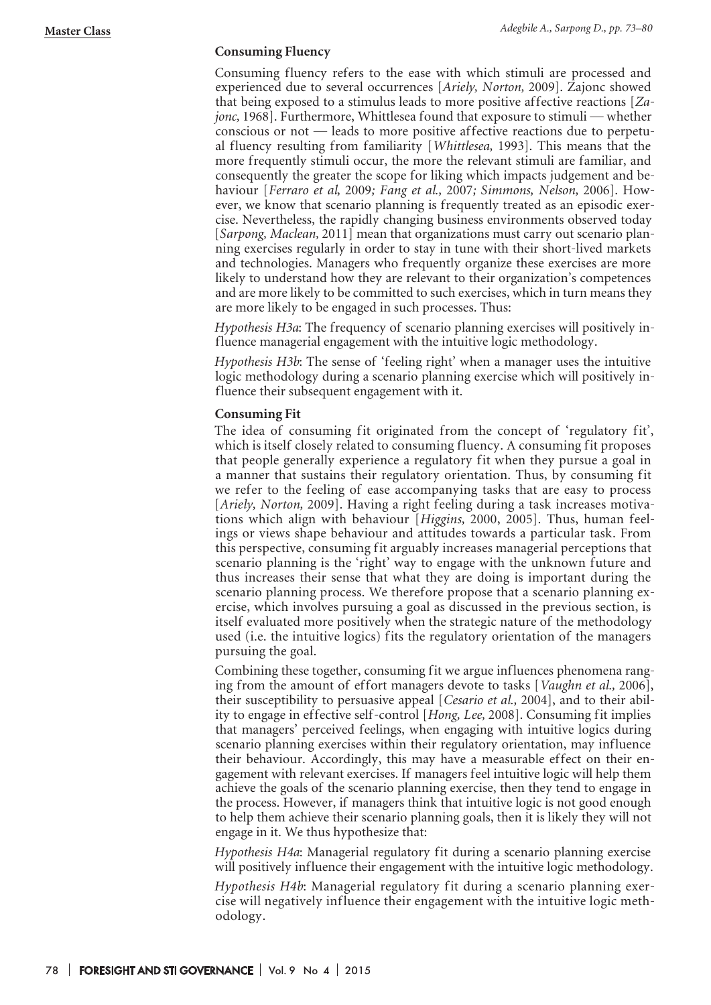## **Consuming Fluency**

Consuming fluency refers to the ease with which stimuli are processed and experienced due to several occurrences [*Ariely, Norton,* 2009]. Zajonc showed that being exposed to a stimulus leads to more positive affective reactions [*Zajonc,* 1968]. Furthermore, Whittlesea found that exposure to stimuli — whether conscious or not — leads to more positive affective reactions due to perpetual fluency resulting from familiarity [*Whittlesea,* 1993]. This means that the more frequently stimuli occur, the more the relevant stimuli are familiar, and consequently the greater the scope for liking which impacts judgement and behaviour [*Ferraro et al,* 2009*; Fang et al.,* 2007*; Simmons, Nelson,* 2006]. However, we know that scenario planning is frequently treated as an episodic exercise. Nevertheless, the rapidly changing business environments observed today [*Sarpong, Maclean,* 2011] mean that organizations must carry out scenario planning exercises regularly in order to stay in tune with their short-lived markets and technologies. Managers who frequently organize these exercises are more likely to understand how they are relevant to their organization's competences and are more likely to be committed to such exercises, which in turn means they are more likely to be engaged in such processes. Thus:

*Hypothesis H3a*: The frequency of scenario planning exercises will positively influence managerial engagement with the intuitive logic methodology.

*Hypothesis H3b*: The sense of 'feeling right' when a manager uses the intuitive logic methodology during a scenario planning exercise which will positively influence their subsequent engagement with it.

## **Consuming Fit**

The idea of consuming fit originated from the concept of 'regulatory fit', which is itself closely related to consuming fluency. A consuming fit proposes that people generally experience a regulatory fit when they pursue a goal in a manner that sustains their regulatory orientation. Thus, by consuming fit we refer to the feeling of ease accompanying tasks that are easy to process [*Ariely, Norton,* 2009]. Having a right feeling during a task increases motivations which align with behaviour [*Higgins,* 2000, 2005]. Thus, human feelings or views shape behaviour and attitudes towards a particular task. From this perspective, consuming fit arguably increases managerial perceptions that scenario planning is the 'right' way to engage with the unknown future and thus increases their sense that what they are doing is important during the scenario planning process. We therefore propose that a scenario planning exercise, which involves pursuing a goal as discussed in the previous section, is itself evaluated more positively when the strategic nature of the methodology used (i.e. the intuitive logics) fits the regulatory orientation of the managers pursuing the goal.

Combining these together, consuming fit we argue influences phenomena ranging from the amount of effort managers devote to tasks [*Vaughn et al.,* 2006], their susceptibility to persuasive appeal [*Cesario et al.,* 2004], and to their ability to engage in effective self-control [*Hong, Lee,* 2008]. Consuming fit implies that managers' perceived feelings, when engaging with intuitive logics during scenario planning exercises within their regulatory orientation, may influence their behaviour. Accordingly, this may have a measurable effect on their engagement with relevant exercises. If managers feel intuitive logic will help them achieve the goals of the scenario planning exercise, then they tend to engage in the process. However, if managers think that intuitive logic is not good enough to help them achieve their scenario planning goals, then it is likely they will not engage in it. We thus hypothesize that:

*Hypothesis H4a*: Managerial regulatory fit during a scenario planning exercise will positively influence their engagement with the intuitive logic methodology.

*Hypothesis H4b*: Managerial regulatory fit during a scenario planning exercise will negatively influence their engagement with the intuitive logic methodology.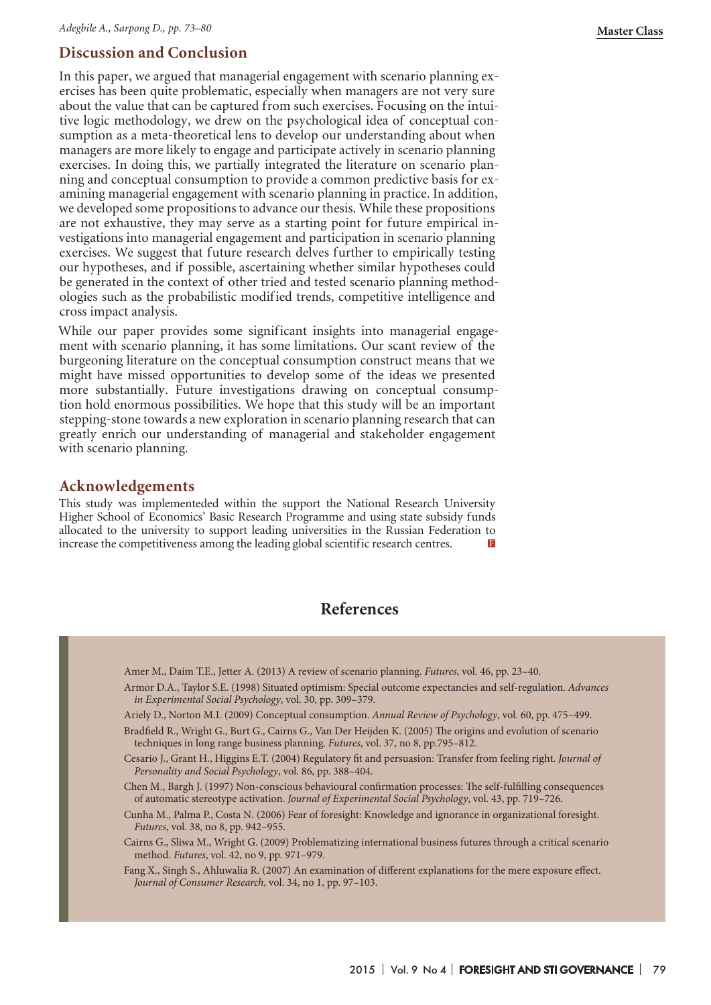## **Discussion and Conclusion**

In this paper, we argued that managerial engagement with scenario planning exercises has been quite problematic, especially when managers are not very sure about the value that can be captured from such exercises. Focusing on the intuitive logic methodology, we drew on the psychological idea of conceptual consumption as a meta-theoretical lens to develop our understanding about when managers are more likely to engage and participate actively in scenario planning exercises. In doing this, we partially integrated the literature on scenario planning and conceptual consumption to provide a common predictive basis for examining managerial engagement with scenario planning in practice. In addition, we developed some propositions to advance our thesis. While these propositions are not exhaustive, they may serve as a starting point for future empirical investigations into managerial engagement and participation in scenario planning exercises. We suggest that future research delves further to empirically testing our hypotheses, and if possible, ascertaining whether similar hypotheses could be generated in the context of other tried and tested scenario planning methodologies such as the probabilistic modified trends, competitive intelligence and cross impact analysis.

While our paper provides some significant insights into managerial engagement with scenario planning, it has some limitations. Our scant review of the burgeoning literature on the conceptual consumption construct means that we might have missed opportunities to develop some of the ideas we presented more substantially. Future investigations drawing on conceptual consumption hold enormous possibilities. We hope that this study will be an important stepping-stone towards a new exploration in scenario planning research that can greatly enrich our understanding of managerial and stakeholder engagement with scenario planning.

### **Acknowledgements**

This study was implementeded within the support the National Research University Higher School of Economics' Basic Research Programme and using state subsidy funds allocated to the university to support leading universities in the Russian Federation to increase the competitiveness among the leading global scientific research centres. F

## **References**

Amer M., Daim T.E., Jetter A. (2013) A review of scenario planning. *Futures*, vol. 46, pp. 23–40.

- Armor D.A., Taylor S.E. (1998) Situated optimism: Special outcome expectancies and self-regulation. *Advances in Experimental Social Psychology*, vol. 30, pp. 309–379.
- Ariely D., Norton M.I. (2009) Conceptual consumption. *Annual Review of Psychology*, vol. 60, pp. 475–499.
- Bradfield R., Wright G., Burt G., Cairns G., Van Der Heijden K. (2005) The origins and evolution of scenario techniques in long range business planning. *Futures*, vol. 37, no 8, pp.795–812.
- Cesario J., Grant H., Higgins E.T. (2004) Regulatory fit and persuasion: Transfer from feeling right. *Journal of Personality and Social Psychology*, vol. 86, pp. 388–404.
- Chen M., Bargh J. (1997) Non-conscious behavioural confirmation processes: The self-fulfilling consequences of automatic stereotype activation. *Journal of Experimental Social Psychology*, vol. 43, pp. 719–726.
- Cunha M., Palma P., Costa N. (2006) Fear of foresight: Knowledge and ignorance in organizational foresight. *Futures*, vol. 38, no 8, pp. 942–955.
- Cairns G., Sliwa M., Wright G. (2009) Problematizing international business futures through a critical scenario method. *Futures*, vol. 42, no 9, pp. 971–979.

Fang X., Singh S., Ahluwalia R. (2007) An examination of different explanations for the mere exposure effect. *Journal of Consumer Research*, vol. 34, no 1, pp. 97–103.